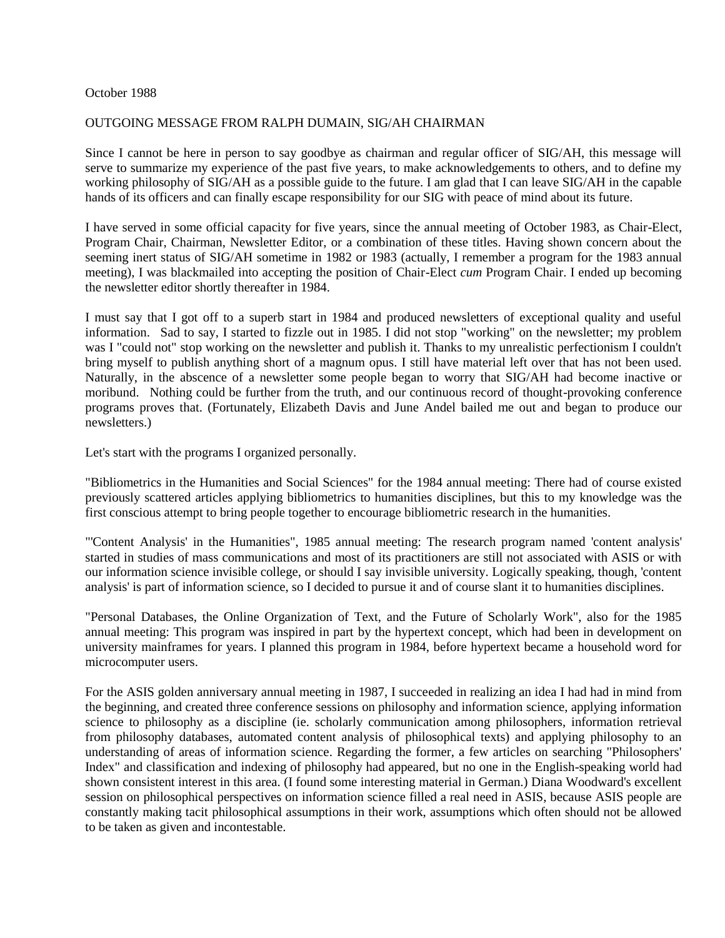## October 1988

## OUTGOING MESSAGE FROM RALPH DUMAIN, SIG/AH CHAIRMAN

Since I cannot be here in person to say goodbye as chairman and regular officer of SIG/AH, this message will serve to summarize my experience of the past five years, to make acknowledgements to others, and to define my working philosophy of SIG/AH as a possible guide to the future. I am glad that I can leave SIG/AH in the capable hands of its officers and can finally escape responsibility for our SIG with peace of mind about its future.

I have served in some official capacity for five years, since the annual meeting of October 1983, as Chair-Elect, Program Chair, Chairman, Newsletter Editor, or a combination of these titles. Having shown concern about the seeming inert status of SIG/AH sometime in 1982 or 1983 (actually, I remember a program for the 1983 annual meeting), I was blackmailed into accepting the position of Chair-Elect *cum* Program Chair. I ended up becoming the newsletter editor shortly thereafter in 1984.

I must say that I got off to a superb start in 1984 and produced newsletters of exceptional quality and useful information. Sad to say, I started to fizzle out in 1985. I did not stop "working" on the newsletter; my problem was I "could not" stop working on the newsletter and publish it. Thanks to my unrealistic perfectionism I couldn't bring myself to publish anything short of a magnum opus. I still have material left over that has not been used. Naturally, in the abscence of a newsletter some people began to worry that SIG/AH had become inactive or moribund. Nothing could be further from the truth, and our continuous record of thought-provoking conference programs proves that. (Fortunately, Elizabeth Davis and June Andel bailed me out and began to produce our newsletters.)

Let's start with the programs I organized personally.

"Bibliometrics in the Humanities and Social Sciences" for the 1984 annual meeting: There had of course existed previously scattered articles applying bibliometrics to humanities disciplines, but this to my knowledge was the first conscious attempt to bring people together to encourage bibliometric research in the humanities.

"'Content Analysis' in the Humanities", 1985 annual meeting: The research program named 'content analysis' started in studies of mass communications and most of its practitioners are still not associated with ASIS or with our information science invisible college, or should I say invisible university. Logically speaking, though, 'content analysis' is part of information science, so I decided to pursue it and of course slant it to humanities disciplines.

"Personal Databases, the Online Organization of Text, and the Future of Scholarly Work", also for the 1985 annual meeting: This program was inspired in part by the hypertext concept, which had been in development on university mainframes for years. I planned this program in 1984, before hypertext became a household word for microcomputer users.

For the ASIS golden anniversary annual meeting in 1987, I succeeded in realizing an idea I had had in mind from the beginning, and created three conference sessions on philosophy and information science, applying information science to philosophy as a discipline (ie. scholarly communication among philosophers, information retrieval from philosophy databases, automated content analysis of philosophical texts) and applying philosophy to an understanding of areas of information science. Regarding the former, a few articles on searching "Philosophers' Index" and classification and indexing of philosophy had appeared, but no one in the English-speaking world had shown consistent interest in this area. (I found some interesting material in German.) Diana Woodward's excellent session on philosophical perspectives on information science filled a real need in ASIS, because ASIS people are constantly making tacit philosophical assumptions in their work, assumptions which often should not be allowed to be taken as given and incontestable.